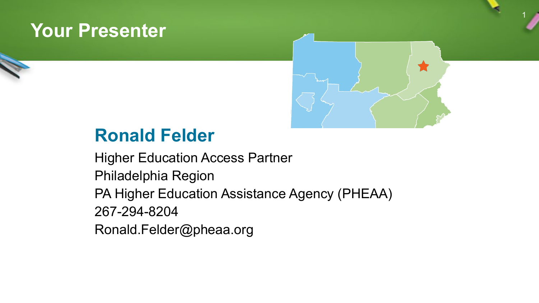### **Your Presenter**



1

### **Ronald Felder**

Higher Education Access Partner Philadelphia Region PA Higher Education Assistance Agency (PHEAA) 267-294-8204 Ronald.Felder@pheaa.org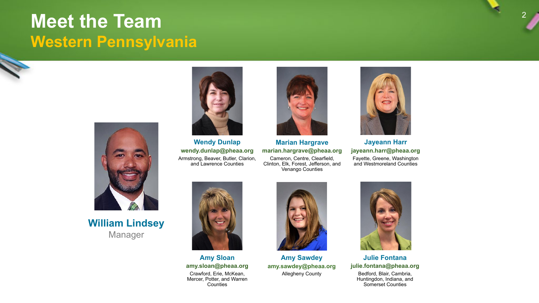### **Meet the Team Western Pennsylvania**



**William Lindsey** Manager



**Wendy Dunlap wendy.dunlap@pheaa.org** Armstrong, Beaver, Butler, Clarion, and Lawrence Counties



**Marian Hargrave marian.hargrave@pheaa.org** Cameron, Centre, Clearfield, Clinton, Elk, Forest, Jefferson, and Venango Counties



**Jayeann Harr jayeann.harr@pheaa.org** Fayette, Greene, Washington and Westmoreland Counties



**Amy Sloan amy.sloan@pheaa.org** Crawford, Erie, McKean, Mercer, Potter, and Warren **Counties** 



**Amy Sawdey amy.sawdey@pheaa.org** Allegheny County



**Julie Fontana julie.fontana@pheaa.org**

Bedford, Blair, Cambria, Huntingdon, Indiana, and Somerset Counties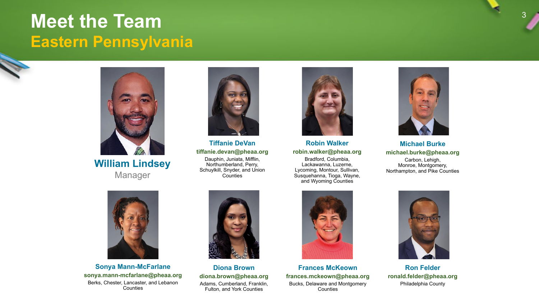### **Meet the Team Eastern Pennsylvania**



**William Lindsey** Manager



**Sonya Mann-McFarlane sonya.mann-mcfarlane@pheaa.org** Berks, Chester, Lancaster, and Lebanon **Counties** 



**Tiffanie DeVan tiffanie.devan@pheaa.org**

Dauphin, Juniata, Mifflin, Northumberland, Perry, Schuylkill, Snyder, and Union **Counties** 



**Robin Walker robin.walker@pheaa.org**

Bradford, Columbia, Lackawanna, Luzerne, Lycoming, Montour, Sullivan, Susquehanna, Tioga, Wayne, and Wyoming Counties



**Michael Burke michael.burke@pheaa.org**

Carbon, Lehigh, Monroe, Montgomery, Northampton, and Pike Counties



**Diona Brown diona.brown@pheaa.org** Adams, Cumberland, Franklin, Fulton, and York Counties



**Frances McKeown frances.mckeown@pheaa.org** Bucks, Delaware and Montgomery **Counties** 



**Ron Felder ronald.felder@pheaa.org** Philadelphia County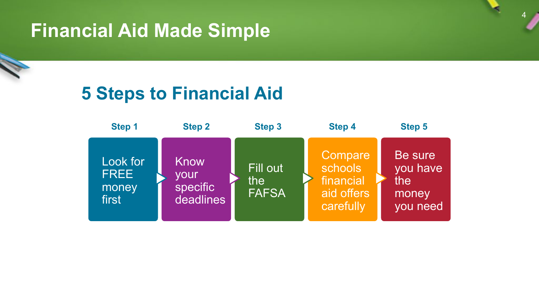# **Financial Aid Made Simple**

### **5 Steps to Financial Aid**

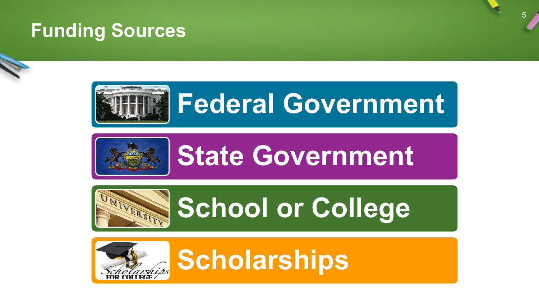# **Funding Sources**







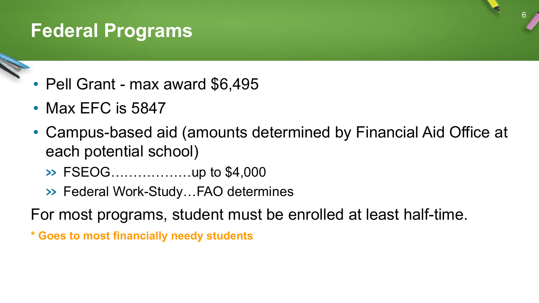# **Federal Programs**

- Pell Grant max award \$6,495
- Max EFC is 5847
- Campus-based aid (amounts determined by Financial Aid Office at each potential school)

- » FSEOG………………up to \$4,000
- » Federal Work-Study…FAO determines
- For most programs, student must be enrolled at least half-time.
- **\* Goes to most financially needy students**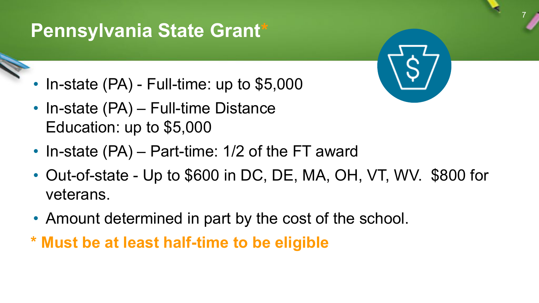# **Pennsylvania State Grant\***

- In-state (PA) Full-time: up to \$5,000
- In-state (PA) Full-time Distance Education: up to \$5,000
- In-state (PA) Part-time: 1/2 of the FT award
- Out-of-state Up to \$600 in DC, DE, MA, OH, VT, WV. \$800 for veterans.

- Amount determined in part by the cost of the school.
- **\* Must be at least half-time to be eligible**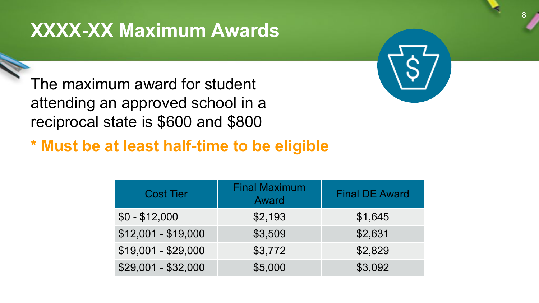# **XXXX-XX Maximum Awards**

The maximum award for student attending an approved school in a reciprocal state is \$600 and \$800



8

**\* Must be at least half-time to be eligible**

| <b>Cost Tier</b>    | <b>Final Maximum</b><br>Award | <b>Final DE Award</b> |
|---------------------|-------------------------------|-----------------------|
| $$0 - $12,000$      | \$2,193                       | \$1,645               |
| $$12,001 - $19,000$ | \$3,509                       | \$2,631               |
| $$19,001 - $29,000$ | \$3,772                       | \$2,829               |
| $$29,001 - $32,000$ | \$5,000                       | \$3,092               |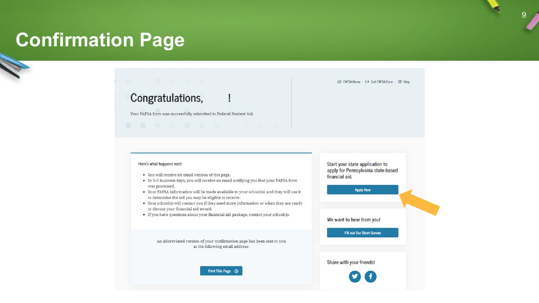### **Confirmation Page**

**V** 

### Congratulations,

Your FAFSA form was successfully submitted to Federal Student Aid.

 $0 0 0 0 1 0 0 0 0 0 0$ 

#### Here's what happens next:

- You will receive an email version of this page.
- . In 3-5 business days, you will receive an email notifying you that your FAFSA form was processed.
- Your FAFSA information will be made available to your school(s), and they will use it to determine the aid you may be eligible to receive.
- Your school(s) will contact you if they need more information or when they are ready to discuss your financial aid award.
- If you have questions about your financial aid package, contact your school(s).

An abbreviated version of your confirmation page has been sent to you at the following email address:

Print This Page 合



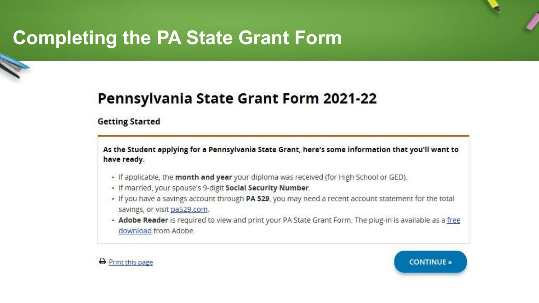# **Completing the PA State Grant Form**

### **Pennsylvania State Grant Form 2021-22**

#### **Getting Started**

As the Student applying for a Pennsylvania State Grant, here's some information that you'll want to have ready.

- If applicable, the month and year your diploma was received (for High School or GED).
- · If married, your spouse's 9-digit Social Security Number.
- If you have a savings account through PA 529, you may need a recent account statement for the total savings, or visit pa529.com.
- . Adobe Reader is required to view and print your PA State Grant Form. The plug-in is available as a free download from Adobe.



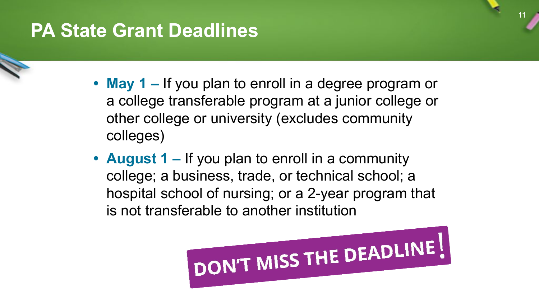# **PA State Grant Deadlines**

- **• May 1** If you plan to enroll in a degree program or a college transferable program at a junior college or other college or university (excludes community colleges)
- **• August 1** If you plan to enroll in a community college; a business, trade, or technical school; a hospital school of nursing; or a 2-year program that is not transferable to another institution

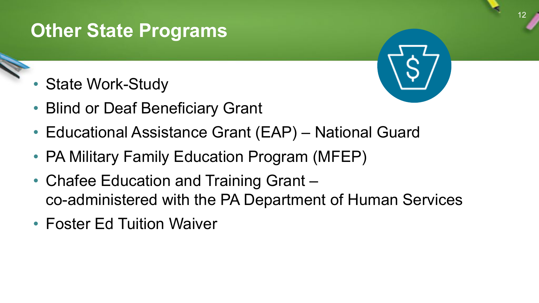# **Other State Programs**

- **State Work-Study**
- Blind or Deaf Beneficiary Grant
- Educational Assistance Grant (EAP) National Guard
- PA Military Family Education Program (MFEP)
- Chafee Education and Training Grant co-administered with the PA Department of Human Services
- Foster Ed Tuition Waiver

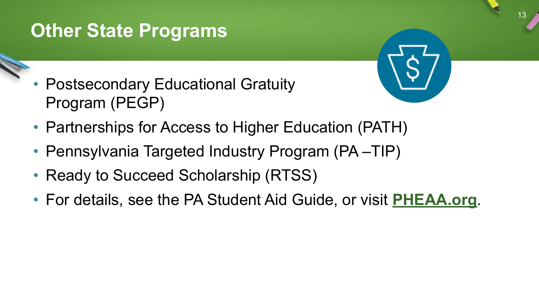# **Other State Programs**

Postsecondary Educational Gratuity Program (PEGP)



- Partnerships for Access to Higher Education (PATH)
- Pennsylvania Targeted Industry Program (PA-TIP)
- Ready to Succeed Scholarship (RTSS)
- For details, see the PA Student Aid Guide, or visit **[PHEAA.org](http://www.pheaa.org/)**.